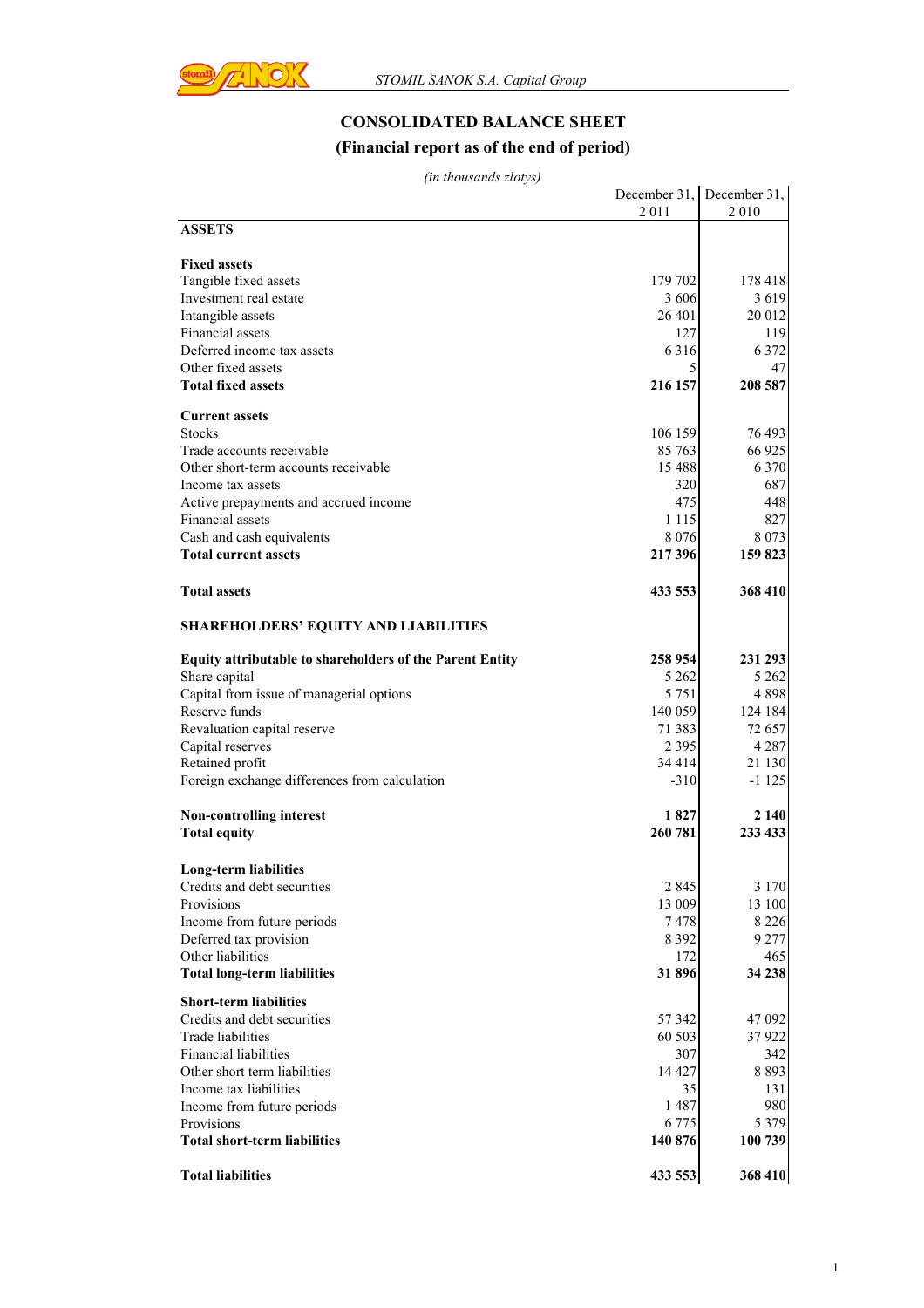

## **CONSOLIDATED BALANCE SHEET (Financial report as of the end of period)**

*(in thousands zlotys)*

|                                                          |           | December 31, December 31, |
|----------------------------------------------------------|-----------|---------------------------|
|                                                          | 2011      | 2010                      |
| <b>ASSETS</b>                                            |           |                           |
|                                                          |           |                           |
| <b>Fixed assets</b>                                      |           |                           |
| Tangible fixed assets                                    | 179 702   | 178 418                   |
| Investment real estate                                   | 3 6 0 6   | 3619                      |
| Intangible assets                                        | 26 401    | 20 012                    |
| Financial assets<br>Deferred income tax assets           | 127       | 119                       |
|                                                          | 6316<br>5 | 6 3 7 2                   |
| Other fixed assets<br><b>Total fixed assets</b>          | 216 157   | 47                        |
|                                                          |           | 208 587                   |
| <b>Current assets</b>                                    |           |                           |
| <b>Stocks</b>                                            | 106 159   | 76 493                    |
| Trade accounts receivable                                | 85 763    | 66 925                    |
| Other short-term accounts receivable                     | 15 4 8 8  | 6 3 7 0                   |
| Income tax assets                                        | 320       | 687                       |
| Active prepayments and accrued income                    | 475       | 448                       |
| Financial assets                                         | 1 1 1 5   | 827                       |
| Cash and cash equivalents                                | 8 0 7 6   | 8 0 7 3                   |
| <b>Total current assets</b>                              | 217396    | 159 823                   |
|                                                          |           |                           |
| <b>Total assets</b>                                      | 433 553   | 368 410                   |
|                                                          |           |                           |
| <b>SHAREHOLDERS' EQUITY AND LIABILITIES</b>              |           |                           |
| Equity attributable to shareholders of the Parent Entity | 258 954   | 231 293                   |
| Share capital                                            | 5 262     | 5 2 6 2                   |
| Capital from issue of managerial options                 | 5 7 5 1   | 4898                      |
| Reserve funds                                            | 140 059   | 124 184                   |
| Revaluation capital reserve                              | 71 383    | 72 657                    |
| Capital reserves                                         | 2 3 9 5   | 4 2 8 7                   |
| Retained profit                                          | 34 4 14   | 21 130                    |
| Foreign exchange differences from calculation            | $-310$    | $-1125$                   |
|                                                          |           |                           |
| Non-controlling interest                                 | 1827      | 2 140                     |
| <b>Total equity</b>                                      | 260 781   | 233 433                   |
|                                                          |           |                           |
| <b>Long-term liabilities</b>                             |           |                           |
| Credits and debt securities                              | 2 8 4 5   | 3 1 7 0                   |
| Provisions                                               | 13 009    | 13 100                    |
| Income from future periods                               | 7478      | 8 2 2 6                   |
| Deferred tax provision                                   | 8 3 9 2   | 9 2 7 7                   |
| Other liabilities                                        | 172       | 465                       |
| <b>Total long-term liabilities</b>                       | 31896     | 34 238                    |
|                                                          |           |                           |
| <b>Short-term liabilities</b>                            |           |                           |
| Credits and debt securities                              | 57 342    | 47 092                    |
| Trade liabilities                                        | 60 503    | 37922                     |
| Financial liabilities                                    | 307       | 342                       |
| Other short term liabilities                             | 14 4 27   | 8893                      |
| Income tax liabilities                                   | 35        | 131                       |
| Income from future periods                               | 1487      | 980                       |
| Provisions                                               | 6 7 7 5   | 5 3 7 9                   |
| <b>Total short-term liabilities</b>                      | 140 876   | 100 739                   |
| <b>Total liabilities</b>                                 | 433 553   | 368 410                   |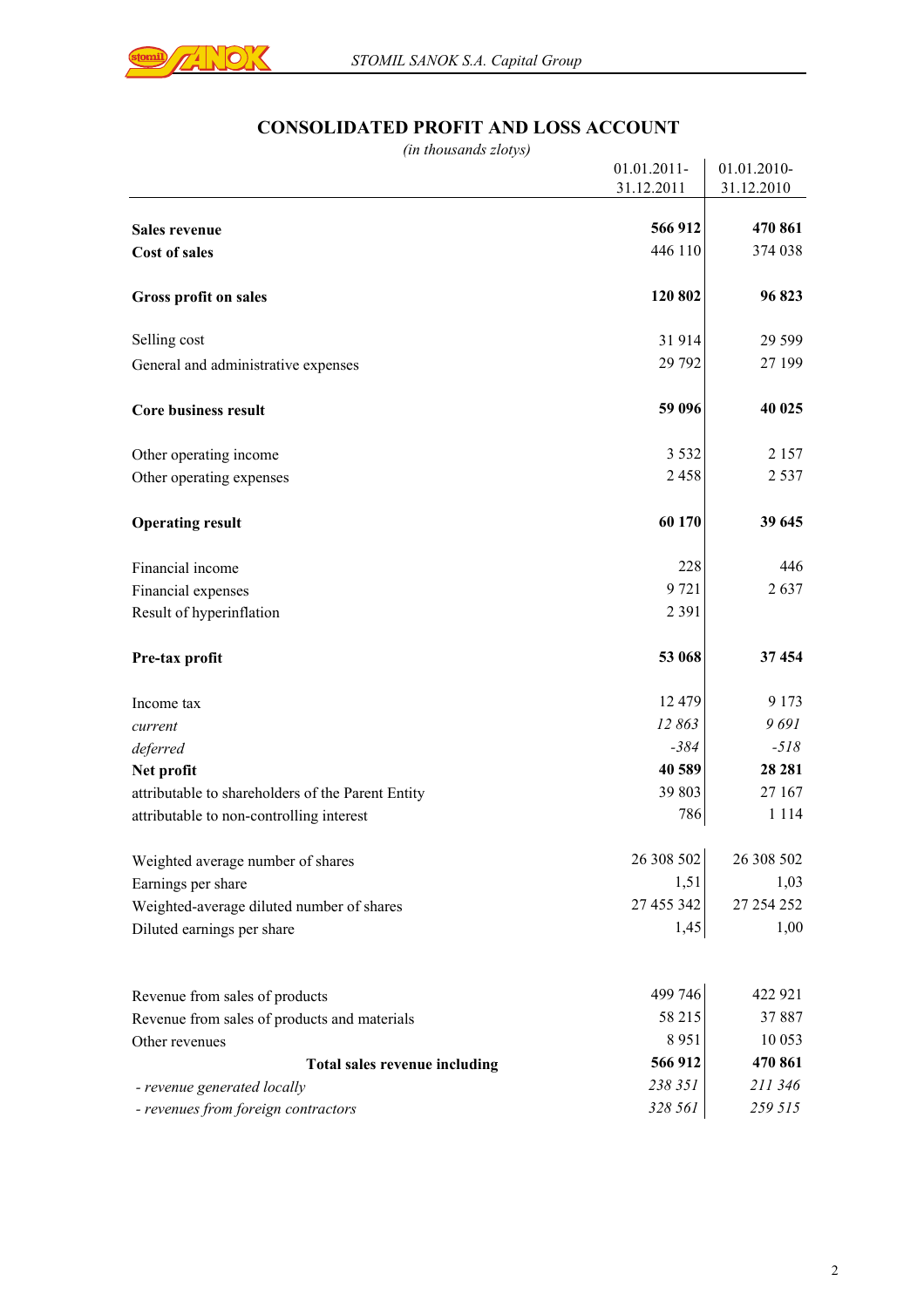

## **CONSOLIDATED PROFIT AND LOSS ACCOUNT**

| <b>D'ALLED L'AVELLE TAND LIVER TICCO</b><br>(in thousands zlotys) |                           |                           |
|-------------------------------------------------------------------|---------------------------|---------------------------|
|                                                                   | 01.01.2011-<br>31.12.2011 | 01.01.2010-<br>31.12.2010 |
| Sales revenue                                                     | 566 912                   | 470 861                   |
| <b>Cost of sales</b>                                              | 446 110                   | 374 038                   |
| Gross profit on sales                                             | 120 802                   | 96 823                    |
| Selling cost                                                      | 31914                     | 29 5 99                   |
| General and administrative expenses                               | 29 7 9 2                  | 27 199                    |
| <b>Core business result</b>                                       | 59 096                    | 40 025                    |
| Other operating income                                            | 3 5 3 2                   | 2 1 5 7                   |
| Other operating expenses                                          | 2458                      | 2 5 3 7                   |
| <b>Operating result</b>                                           | 60 170                    | 39 645                    |
| Financial income                                                  | 228                       | 446                       |
| Financial expenses                                                | 9721                      | 2637                      |
| Result of hyperinflation                                          | 2 3 9 1                   |                           |
| Pre-tax profit                                                    | 53 068                    | 37 454                    |
| Income tax                                                        | 12 479                    | 9 1 7 3                   |
| current                                                           | 12863                     | 9691                      |
| deferred                                                          | $-384$                    | $-518$                    |
| Net profit                                                        | 40 589                    | 28 28 1                   |
| attributable to shareholders of the Parent Entity                 | 39 803                    | 27 167                    |
| attributable to non-controlling interest                          | 786                       | 1 1 1 4                   |
| Weighted average number of shares                                 | 26 308 502                | 26 308 502                |
| Earnings per share                                                | 1,51                      | 1,03                      |
| Weighted-average diluted number of shares                         | 27 455 342                | 27 254 252                |
| Diluted earnings per share                                        | 1,45                      | 1,00                      |
| Revenue from sales of products                                    | 499 746                   | 422 921                   |
| Revenue from sales of products and materials                      | 58 215                    | 37 887                    |
| Other revenues                                                    | 8951                      | 10 053                    |
| Total sales revenue including                                     | 566 912                   | 470 861                   |
| - revenue generated locally                                       | 238 351                   | 211 346                   |
| - revenues from foreign contractors                               | 328 561                   | 259 515                   |
|                                                                   |                           |                           |